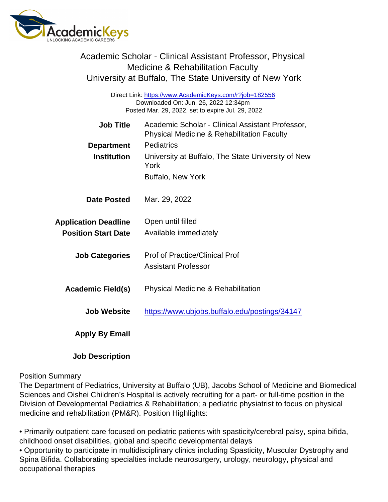| Academic Scholar - Clinical Assistant Professor, Physical<br><b>Medicine &amp; Rehabilitation Faculty</b><br>University at Buffalo, The State University of New York |                                                                                                                                                                                                                   |
|----------------------------------------------------------------------------------------------------------------------------------------------------------------------|-------------------------------------------------------------------------------------------------------------------------------------------------------------------------------------------------------------------|
| Direct Link: https://www.AcademicKeys.com/r?job=182556<br>Downloaded On: Jun. 26, 2022 12:34pm<br>Posted Mar. 29, 2022, set to expire Jul. 29, 2022                  |                                                                                                                                                                                                                   |
| <b>Job Title</b><br>Department<br>Institution                                                                                                                        | Academic Scholar - Clinical Assistant Professor,<br><b>Physical Medicine &amp; Rehabilitation Faculty</b><br>Pediatrics<br>University at Buffalo, The State University of New<br>York<br><b>Buffalo, New York</b> |
| Date Posted                                                                                                                                                          | Mar. 29, 2022                                                                                                                                                                                                     |
| <b>Application Deadline</b><br><b>Position Start Date</b>                                                                                                            | Open until filled<br>Available immediately                                                                                                                                                                        |
| <b>Job Categories</b>                                                                                                                                                | <b>Prof of Practice/Clinical Prof</b><br><b>Assistant Professor</b>                                                                                                                                               |
| Academic Field(s)                                                                                                                                                    | <b>Physical Medicine &amp; Rehabilitation</b>                                                                                                                                                                     |
| Job Website                                                                                                                                                          | https://www.ubjobs.buffalo.edu/postings/34147                                                                                                                                                                     |
| Apply By Email                                                                                                                                                       |                                                                                                                                                                                                                   |
| <b>Job Description</b>                                                                                                                                               |                                                                                                                                                                                                                   |

## Position Summary

The Department of Pediatrics, University at Buffalo (UB), Jacobs School of Medicine and Biomedical Sciences and Oishei Children's Hospital is actively recruiting for a part- or full-time position in the Division of Developmental Pediatrics & Rehabilitation; a pediatric physiatrist to focus on physical medicine and rehabilitation (PM&R). Position Highlights:

• Primarily outpatient care focused on pediatric patients with spasticity/cerebral palsy, spina bifida, childhood onset disabilities, global and specific developmental delays

• Opportunity to participate in multidisciplinary clinics including Spasticity, Muscular Dystrophy and Spina Bifida. Collaborating specialties include neurosurgery, urology, neurology, physical and occupational therapies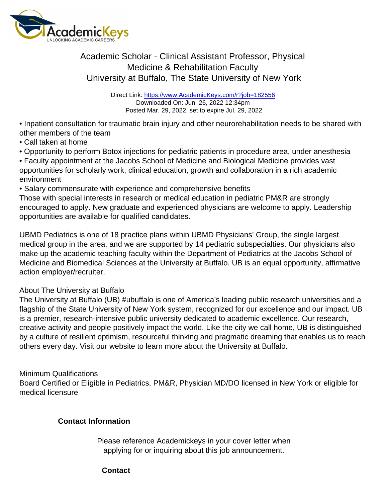## Academic Scholar - Clinical Assistant Professor, Physical Medicine & Rehabilitation Faculty University at Buffalo, The State University of New York

Direct Link: <https://www.AcademicKeys.com/r?job=182556> Downloaded On: Jun. 26, 2022 12:34pm Posted Mar. 29, 2022, set to expire Jul. 29, 2022

• Inpatient consultation for traumatic brain injury and other neurorehabilitation needs to be shared with other members of the team

- Call taken at home
- Opportunity to perform Botox injections for pediatric patients in procedure area, under anesthesia

• Faculty appointment at the Jacobs School of Medicine and Biological Medicine provides vast opportunities for scholarly work, clinical education, growth and collaboration in a rich academic environment

• Salary commensurate with experience and comprehensive benefits

Those with special interests in research or medical education in pediatric PM&R are strongly encouraged to apply. New graduate and experienced physicians are welcome to apply. Leadership opportunities are available for qualified candidates.

UBMD Pediatrics is one of 18 practice plans within UBMD Physicians' Group, the single largest medical group in the area, and we are supported by 14 pediatric subspecialties. Our physicians also make up the academic teaching faculty within the Department of Pediatrics at the Jacobs School of Medicine and Biomedical Sciences at the University at Buffalo. UB is an equal opportunity, affirmative action employer/recruiter.

## About The University at Buffalo

The University at Buffalo (UB) #ubuffalo is one of America's leading public research universities and a flagship of the State University of New York system, recognized for our excellence and our impact. UB is a premier, research-intensive public university dedicated to academic excellence. Our research, creative activity and people positively impact the world. Like the city we call home, UB is distinguished by a culture of resilient optimism, resourceful thinking and pragmatic dreaming that enables us to reach others every day. Visit our website to learn more about the University at Buffalo.

## Minimum Qualifications

Board Certified or Eligible in Pediatrics, PM&R, Physician MD/DO licensed in New York or eligible for medical licensure

Contact Information

Please reference Academickeys in your cover letter when applying for or inquiring about this job announcement.

**Contact**